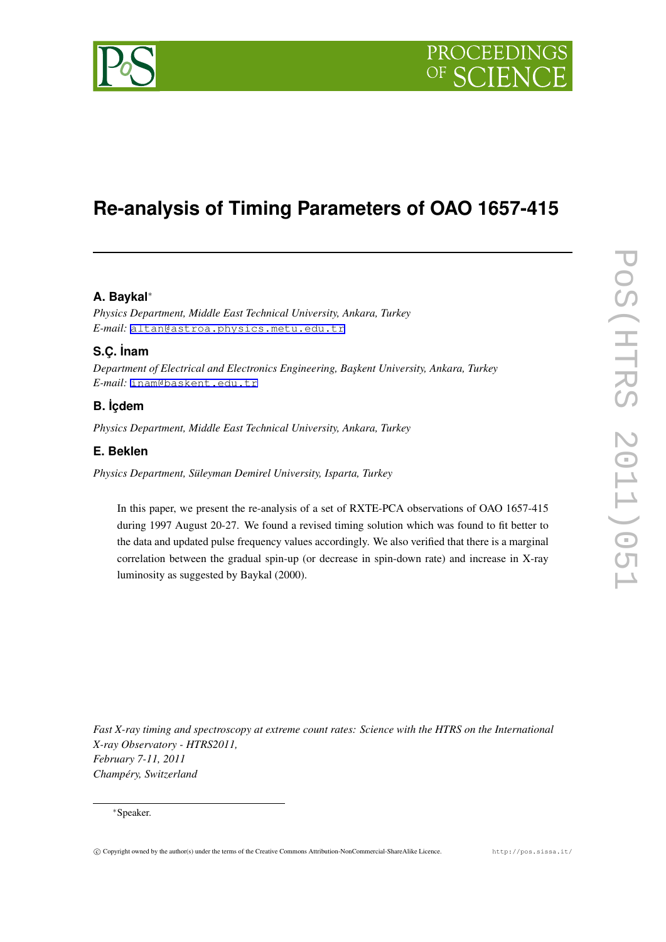

# **Re-analysis of Timing Parameters of OAO 1657-415**

# **A. Baykal***∗*

*Physics Department, Middle East Technical University, Ankara, Turkey E-mail:* [altan@astroa.physics.metu.edu.tr](mailto:altan@astroa.physics.metu.edu.tr)

# **S.Ç. ˙Inam**

*Department of Electrical and Electronics Engineering, Ba¸skent University, Ankara, Turkey E-mail:* [inam@baskent.edu.tr](mailto:inam@baskent.edu.tr)

# **B. ˙Içdem**

*Physics Department, Middle East Technical University, Ankara, Turkey*

## **E. Beklen**

*Physics Department, Süleyman Demirel University, Isparta, Turkey*

In this paper, we present the re-analysis of a set of RXTE-PCA observations of OAO 1657-415 during 1997 August 20-27. We found a revised timing solution which was found to fit better to the data and updated pulse frequency values accordingly. We also verified that there is a marginal correlation between the gradual spin-up (or decrease in spin-down rate) and increase in X-ray luminosity as suggested by Baykal (2000).

*Fast X-ray timing and spectroscopy at extreme count rates: Science with the HTRS on the International X-ray Observatory - HTRS2011, February 7-11, 2011 Champéry, Switzerland*

#### *∗*Speaker.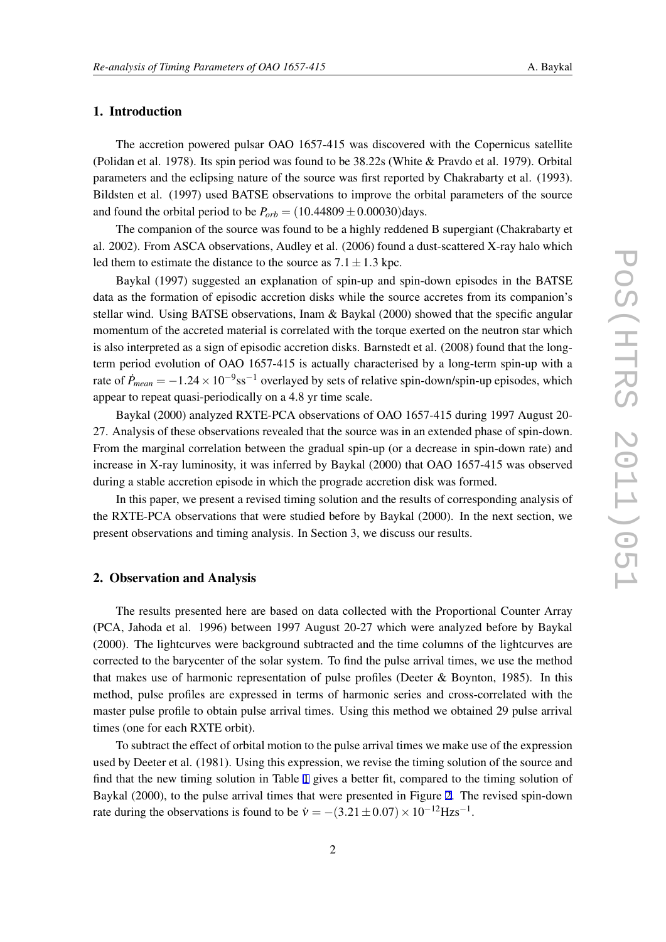## 1. Introduction

The accretion powered pulsar OAO 1657-415 was discovered with the Copernicus satellite (Polidan et al. 1978). Its spin period was found to be 38.22s (White & Pravdo et al. 1979). Orbital parameters and the eclipsing nature of the source was first reported by Chakrabarty et al. (1993). Bildsten et al. (1997) used BATSE observations to improve the orbital parameters of the source and found the orbital period to be  $P_{orb} = (10.44809 \pm 0.00030)$  days.

The companion of the source was found to be a highly reddened B supergiant (Chakrabarty et al. 2002). From ASCA observations, Audley et al. (2006) found a dust-scattered X-ray halo which led them to estimate the distance to the source as  $7.1 \pm 1.3$  kpc.

Baykal (1997) suggested an explanation of spin-up and spin-down episodes in the BATSE data as the formation of episodic accretion disks while the source accretes from its companion's stellar wind. Using BATSE observations, Inam & Baykal (2000) showed that the specific angular momentum of the accreted material is correlated with the torque exerted on the neutron star which is also interpreted as a sign of episodic accretion disks. Barnstedt et al. (2008) found that the longterm period evolution of OAO 1657-415 is actually characterised by a long-term spin-up with a rate of  $\dot{P}_{mean} = -1.24 \times 10^{-9}$ ss<sup>-1</sup> overlayed by sets of relative spin-down/spin-up episodes, which appear to repeat quasi-periodically on a 4.8 yr time scale.

Baykal (2000) analyzed RXTE-PCA observations of OAO 1657-415 during 1997 August 20- 27. Analysis of these observations revealed that the source was in an extended phase of spin-down. From the marginal correlation between the gradual spin-up (or a decrease in spin-down rate) and increase in X-ray luminosity, it was inferred by Baykal (2000) that OAO 1657-415 was observed during a stable accretion episode in which the prograde accretion disk was formed.

In this paper, we present a revised timing solution and the results of corresponding analysis of the RXTE-PCA observations that were studied before by Baykal (2000). In the next section, we present observations and timing analysis. In Section 3, we discuss our results.

#### 2. Observation and Analysis

The results presented here are based on data collected with the Proportional Counter Array (PCA, Jahoda et al. 1996) between 1997 August 20-27 which were analyzed before by Baykal (2000). The lightcurves were background subtracted and the time columns of the lightcurves are corrected to the barycenter of the solar system. To find the pulse arrival times, we use the method that makes use of harmonic representation of pulse profiles (Deeter & Boynton, 1985). In this method, pulse profiles are expressed in terms of harmonic series and cross-correlated with the master pulse profile to obtain pulse arrival times. Using this method we obtained 29 pulse arrival times (one for each RXTE orbit).

To subtract the effect of orbital motion to the pulse arrival times we make use of the expression used by Deeter et al. (1981). Using this expression, we revise the timing solution of the source and find that the new timing solution in Table [1](#page-2-0) gives a better fit, compared to the timing solution of Baykal (2000), to the pulse arrival times that were presented in Figure [2.](#page-3-0) The revised spin-down rate during the observations is found to be  $\dot{v} = -(3.21 \pm 0.07) \times 10^{-12}$  Hzs<sup>-1</sup>.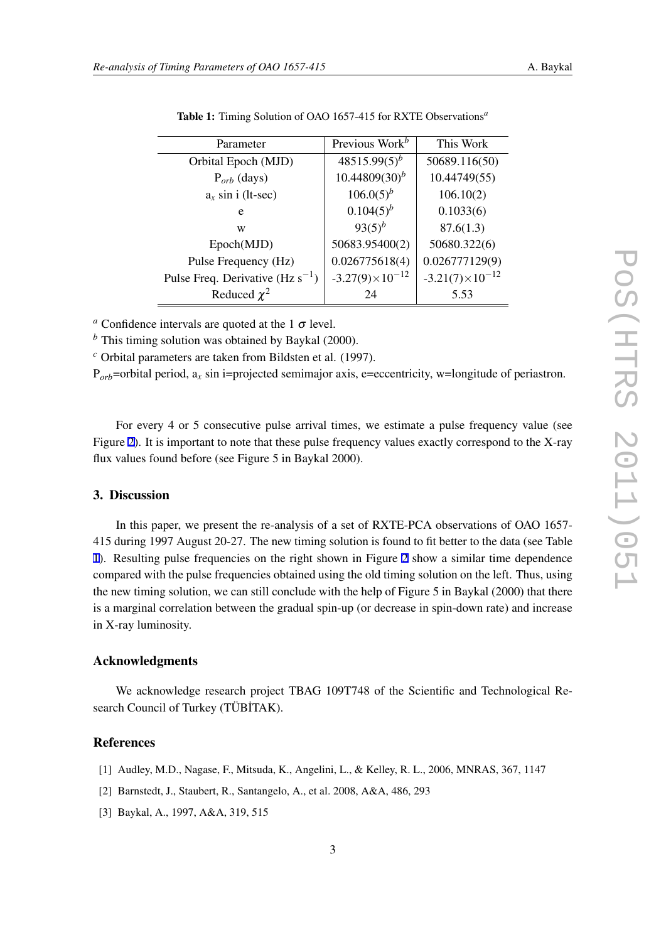| Parameter                             | Previous Work <sup>b</sup> | This Work                |
|---------------------------------------|----------------------------|--------------------------|
| Orbital Epoch (MJD)                   | $48515.99(5)^b$            | 50689.116(50)            |
| $P_{orb}$ (days)                      | $10.44809(30)^{b}$         | 10.44749(55)             |
| $a_x \sin i$ (lt-sec)                 | $106.0(5)^{b}$             | 106.10(2)                |
| e                                     | $0.104(5)^{b}$             | 0.1033(6)                |
| W                                     | $93(5)^b$                  | 87.6(1.3)                |
| Epoch(MJD)                            | 50683.95400(2)             | 50680.322(6)             |
| Pulse Frequency (Hz)                  | 0.026775618(4)             | 0.026777129(9)           |
| Pulse Freq. Derivative (Hz $s^{-1}$ ) | $-3.27(9) \times 10^{-12}$ | $-3.21(7)\times10^{-12}$ |
| Reduced $\chi^2$                      | 24                         | 5.53                     |

<span id="page-2-0"></span>Table 1: Timing Solution of OAO 1657-415 for RXTE Observations*<sup>a</sup>*

*a* Confidence intervals are quoted at the 1  $\sigma$  level.

*<sup>b</sup>* This timing solution was obtained by Baykal (2000).

*<sup>c</sup>* Orbital parameters are taken from Bildsten et al. (1997).

 $P_{orb}$ =orbital period,  $a_x$  sin i=projected semimajor axis, e=eccentricity, w=longitude of periastron.

For every 4 or 5 consecutive pulse arrival times, we estimate a pulse frequency value (see Figure [2](#page-3-0)). It is important to note that these pulse frequency values exactly correspond to the X-ray flux values found before (see Figure 5 in Baykal 2000).

## 3. Discussion

In this paper, we present the re-analysis of a set of RXTE-PCA observations of OAO 1657- 415 during 1997 August 20-27. The new timing solution is found to fit better to the data (see Table 1). Resulting pulse frequencies on the right shown in Figure [2](#page-3-0) show a similar time dependence compared with the pulse frequencies obtained using the old timing solution on the left. Thus, using the new timing solution, we can still conclude with the help of Figure 5 in Baykal (2000) that there is a marginal correlation between the gradual spin-up (or decrease in spin-down rate) and increase in X-ray luminosity.

#### Acknowledgments

We acknowledge research project TBAG 109T748 of the Scientific and Technological Research Council of Turkey (TÜBİTAK).

## **References**

- [1] Audley, M.D., Nagase, F., Mitsuda, K., Angelini, L., & Kelley, R. L., 2006, MNRAS, 367, 1147
- [2] Barnstedt, J., Staubert, R., Santangelo, A., et al. 2008, A&A, 486, 293
- [3] Baykal, A., 1997, A&A, 319, 515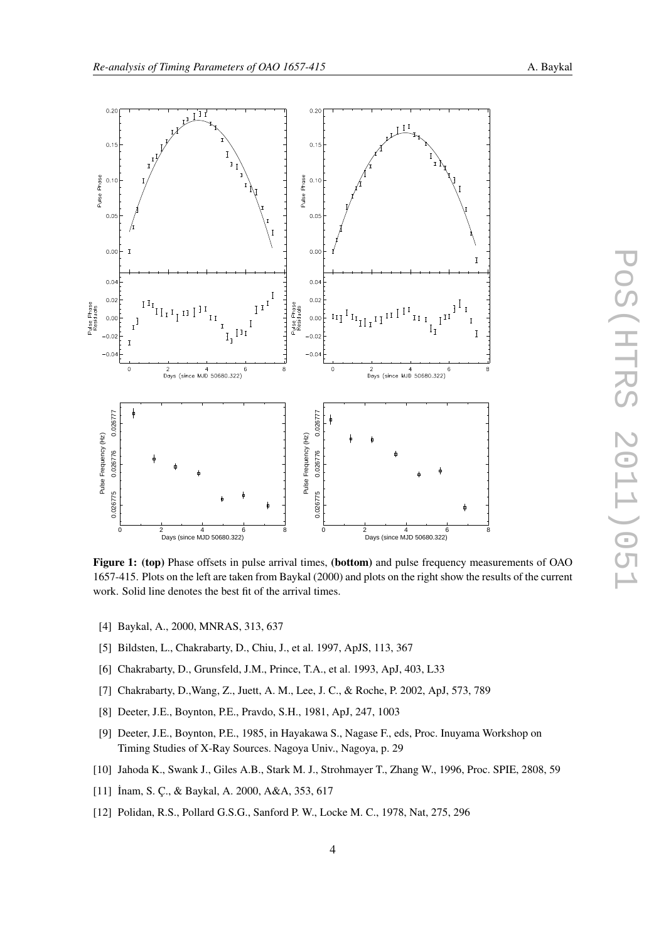<span id="page-3-0"></span>

Figure 1: (top) Phase offsets in pulse arrival times, (bottom) and pulse frequency measurements of OAO 1657-415. Plots on the left are taken from Baykal (2000) and plots on the right show the results of the current work. Solid line denotes the best fit of the arrival times.

- [4] Baykal, A., 2000, MNRAS, 313, 637
- [5] Bildsten, L., Chakrabarty, D., Chiu, J., et al. 1997, ApJS, 113, 367
- [6] Chakrabarty, D., Grunsfeld, J.M., Prince, T.A., et al. 1993, ApJ, 403, L33
- [7] Chakrabarty, D.,Wang, Z., Juett, A. M., Lee, J. C., & Roche, P. 2002, ApJ, 573, 789
- [8] Deeter, J.E., Boynton, P.E., Pravdo, S.H., 1981, ApJ, 247, 1003
- [9] Deeter, J.E., Boynton, P.E., 1985, in Hayakawa S., Nagase F., eds, Proc. Inuyama Workshop on Timing Studies of X-Ray Sources. Nagoya Univ., Nagoya, p. 29
- [10] Jahoda K., Swank J., Giles A.B., Stark M. J., Strohmayer T., Zhang W., 1996, Proc. SPIE, 2808, 59
- [11] İnam, S. Ç., & Baykal, A. 2000, A&A, 353, 617
- [12] Polidan, R.S., Pollard G.S.G., Sanford P. W., Locke M. C., 1978, Nat, 275, 296